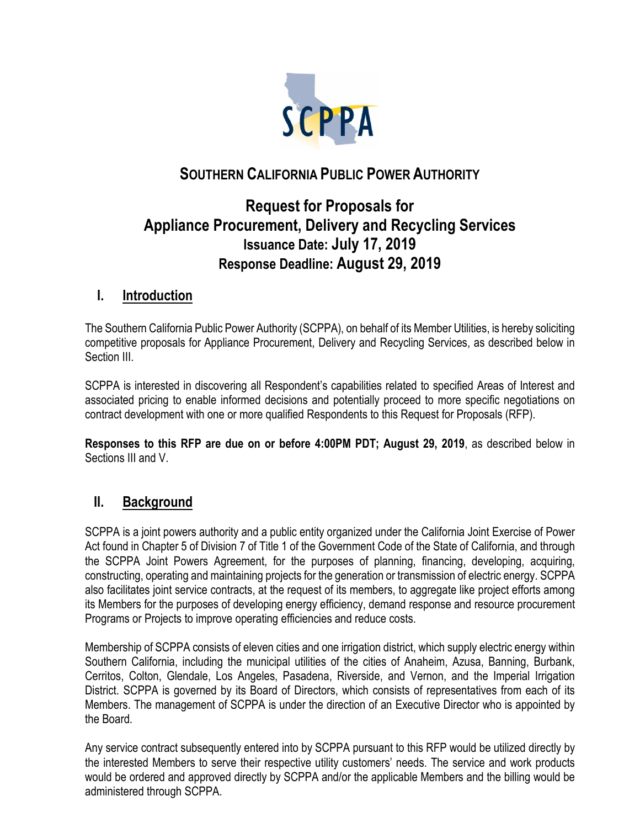

## **SOUTHERN CALIFORNIA PUBLIC POWER AUTHORITY**

# **Request for Proposals for Appliance Procurement, Delivery and Recycling Services Issuance Date: July 17, 2019 Response Deadline: August 29, 2019**

## **I. Introduction**

The Southern California Public Power Authority (SCPPA), on behalf of its Member Utilities, is hereby soliciting competitive proposals for Appliance Procurement, Delivery and Recycling Services, as described below in Section III.

SCPPA is interested in discovering all Respondent's capabilities related to specified Areas of Interest and associated pricing to enable informed decisions and potentially proceed to more specific negotiations on contract development with one or more qualified Respondents to this Request for Proposals (RFP).

**Responses to this RFP are due on or before 4:00PM PDT; August 29, 2019**, as described below in Sections III and V.

## **II. Background**

SCPPA is a joint powers authority and a public entity organized under the California Joint Exercise of Power Act found in Chapter 5 of Division 7 of Title 1 of the Government Code of the State of California, and through the SCPPA Joint Powers Agreement, for the purposes of planning, financing, developing, acquiring, constructing, operating and maintaining projects for the generation or transmission of electric energy. SCPPA also facilitates joint service contracts, at the request of its members, to aggregate like project efforts among its Members for the purposes of developing energy efficiency, demand response and resource procurement Programs or Projects to improve operating efficiencies and reduce costs.

Membership of SCPPA consists of eleven cities and one irrigation district, which supply electric energy within Southern California, including the municipal utilities of the cities of Anaheim, Azusa, Banning, Burbank, Cerritos, Colton, Glendale, Los Angeles, Pasadena, Riverside, and Vernon, and the Imperial Irrigation District. SCPPA is governed by its Board of Directors, which consists of representatives from each of its Members. The management of SCPPA is under the direction of an Executive Director who is appointed by the Board.

Any service contract subsequently entered into by SCPPA pursuant to this RFP would be utilized directly by the interested Members to serve their respective utility customers' needs. The service and work products would be ordered and approved directly by SCPPA and/or the applicable Members and the billing would be administered through SCPPA.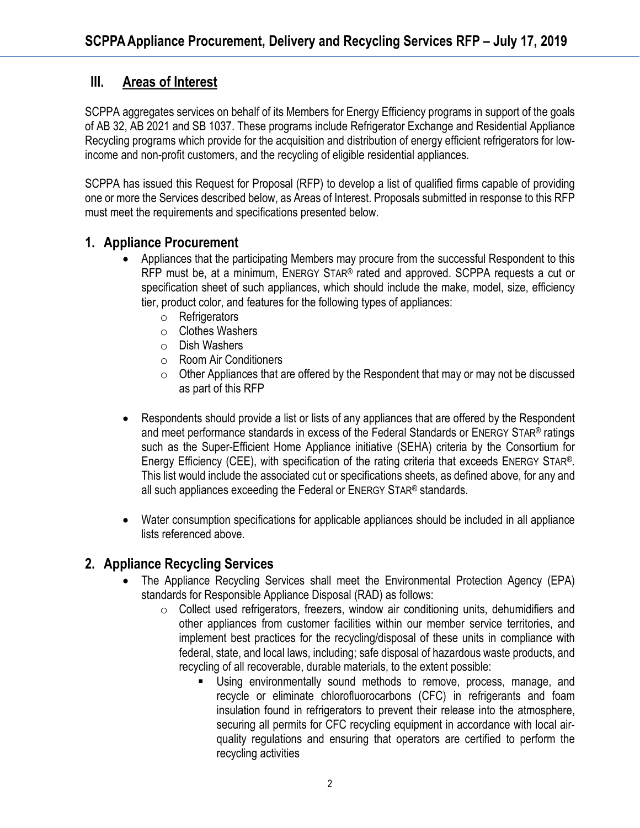## **III. Areas of Interest**

SCPPA aggregates services on behalf of its Members for Energy Efficiency programs in support of the goals of AB 32, AB 2021 and SB 1037. These programs include Refrigerator Exchange and Residential Appliance Recycling programs which provide for the acquisition and distribution of energy efficient refrigerators for lowincome and non-profit customers, and the recycling of eligible residential appliances.

SCPPA has issued this Request for Proposal (RFP) to develop a list of qualified firms capable of providing one or more the Services described below, as Areas of Interest. Proposals submitted in response to this RFP must meet the requirements and specifications presented below.

### **1. Appliance Procurement**

- Appliances that the participating Members may procure from the successful Respondent to this RFP must be, at a minimum, ENERGY STAR® rated and approved. SCPPA requests a cut or specification sheet of such appliances, which should include the make, model, size, efficiency tier, product color, and features for the following types of appliances:
	- o Refrigerators
	- o Clothes Washers
	- o Dish Washers
	- o Room Air Conditioners
	- $\circ$  Other Appliances that are offered by the Respondent that may or may not be discussed as part of this RFP
- Respondents should provide a list or lists of any appliances that are offered by the Respondent and meet performance standards in excess of the Federal Standards or ENERGY STAR® ratings such as the Super-Efficient Home Appliance initiative (SEHA) criteria by the Consortium for Energy Efficiency (CEE), with specification of the rating criteria that exceeds ENERGY STAR®. This list would include the associated cut or specifications sheets, as defined above, for any and all such appliances exceeding the Federal or ENERGY STAR® standards.
- Water consumption specifications for applicable appliances should be included in all appliance lists referenced above.

## **2. Appliance Recycling Services**

- The Appliance Recycling Services shall meet the Environmental Protection Agency (EPA) standards for Responsible Appliance Disposal (RAD) as follows:
	- o Collect used refrigerators, freezers, window air conditioning units, dehumidifiers and other appliances from customer facilities within our member service territories, and implement best practices for the recycling/disposal of these units in compliance with federal, state, and local laws, including; safe disposal of hazardous waste products, and recycling of all recoverable, durable materials, to the extent possible:
		- Using environmentally sound methods to remove, process, manage, and recycle or eliminate chlorofluorocarbons (CFC) in refrigerants and foam insulation found in refrigerators to prevent their release into the atmosphere, securing all permits for CFC recycling equipment in accordance with local airquality regulations and ensuring that operators are certified to perform the recycling activities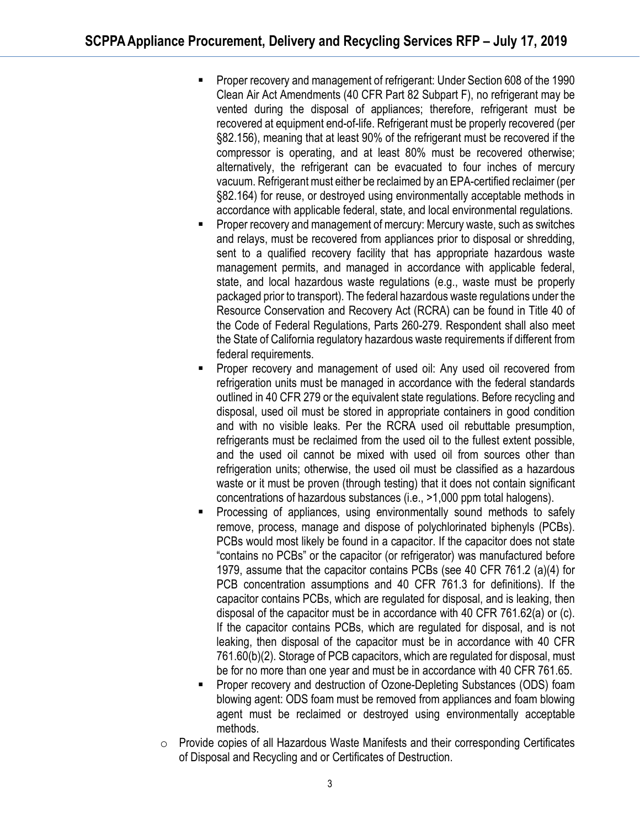- **Proper recovery and management of refrigerant: Under Section 608 of the 1990** Clean Air Act Amendments (40 CFR Part 82 Subpart F), no refrigerant may be vented during the disposal of appliances; therefore, refrigerant must be recovered at equipment end-of-life. Refrigerant must be properly recovered (per §82.156), meaning that at least 90% of the refrigerant must be recovered if the compressor is operating, and at least 80% must be recovered otherwise; alternatively, the refrigerant can be evacuated to four inches of mercury vacuum. Refrigerant must either be reclaimed by an EPA-certified reclaimer (per §82.164) for reuse, or destroyed using environmentally acceptable methods in accordance with applicable federal, state, and local environmental regulations.
- Proper recovery and management of mercury: Mercury waste, such as switches and relays, must be recovered from appliances prior to disposal or shredding, sent to a qualified recovery facility that has appropriate hazardous waste management permits, and managed in accordance with applicable federal, state, and local hazardous waste regulations (e.g., waste must be properly packaged prior to transport). The federal hazardous waste regulations under the Resource Conservation and Recovery Act (RCRA) can be found in Title 40 of the Code of Federal Regulations, Parts 260-279. Respondent shall also meet the State of California regulatory hazardous waste requirements if different from federal requirements.
- Proper recovery and management of used oil: Any used oil recovered from refrigeration units must be managed in accordance with the federal standards outlined in 40 CFR 279 or the equivalent state regulations. Before recycling and disposal, used oil must be stored in appropriate containers in good condition and with no visible leaks. Per the RCRA used oil rebuttable presumption, refrigerants must be reclaimed from the used oil to the fullest extent possible, and the used oil cannot be mixed with used oil from sources other than refrigeration units; otherwise, the used oil must be classified as a hazardous waste or it must be proven (through testing) that it does not contain significant concentrations of hazardous substances (i.e., >1,000 ppm total halogens).
- Processing of appliances, using environmentally sound methods to safely remove, process, manage and dispose of polychlorinated biphenyls (PCBs). PCBs would most likely be found in a capacitor. If the capacitor does not state "contains no PCBs" or the capacitor (or refrigerator) was manufactured before 1979, assume that the capacitor contains PCBs (see 40 CFR 761.2 (a)(4) for PCB concentration assumptions and 40 CFR 761.3 for definitions). If the capacitor contains PCBs, which are regulated for disposal, and is leaking, then disposal of the capacitor must be in accordance with 40 CFR 761.62(a) or (c). If the capacitor contains PCBs, which are regulated for disposal, and is not leaking, then disposal of the capacitor must be in accordance with 40 CFR 761.60(b)(2). Storage of PCB capacitors, which are regulated for disposal, must be for no more than one year and must be in accordance with 40 CFR 761.65.
- Proper recovery and destruction of Ozone-Depleting Substances (ODS) foam blowing agent: ODS foam must be removed from appliances and foam blowing agent must be reclaimed or destroyed using environmentally acceptable methods.
- $\circ$  Provide copies of all Hazardous Waste Manifests and their corresponding Certificates of Disposal and Recycling and or Certificates of Destruction.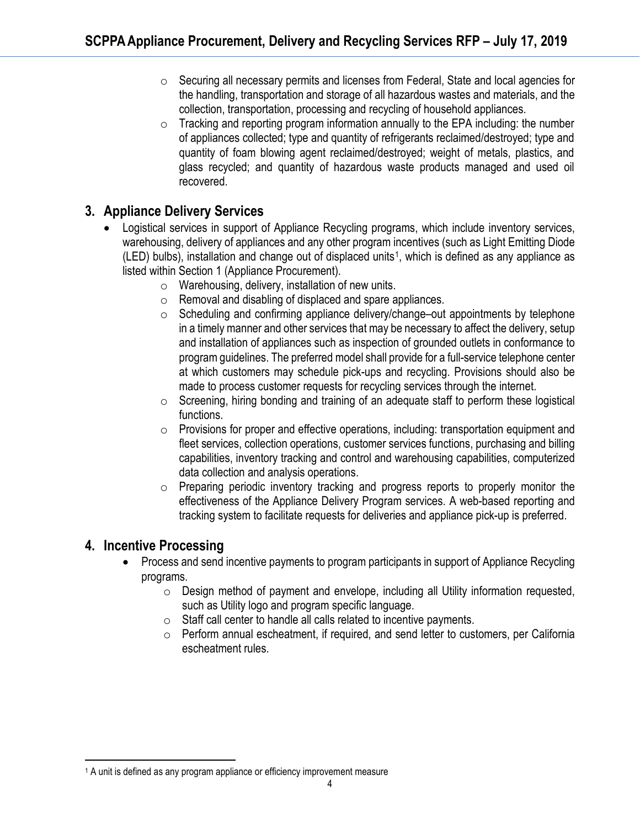- o Securing all necessary permits and licenses from Federal, State and local agencies for the handling, transportation and storage of all hazardous wastes and materials, and the collection, transportation, processing and recycling of household appliances.
- $\circ$  Tracking and reporting program information annually to the EPA including: the number of appliances collected; type and quantity of refrigerants reclaimed/destroyed; type and quantity of foam blowing agent reclaimed/destroyed; weight of metals, plastics, and glass recycled; and quantity of hazardous waste products managed and used oil recovered.

## **3. Appliance Delivery Services**

- Logistical services in support of Appliance Recycling programs, which include inventory services, warehousing, delivery of appliances and any other program incentives (such as Light Emitting Diode  $(LED)$  bulbs), installation and change out of displaced units<sup>1</sup>, which is defined as any appliance as listed within Section 1 (Appliance Procurement).
	- o Warehousing, delivery, installation of new units.
	- o Removal and disabling of displaced and spare appliances.
	- o Scheduling and confirming appliance delivery/change–out appointments by telephone in a timely manner and other services that may be necessary to affect the delivery, setup and installation of appliances such as inspection of grounded outlets in conformance to program guidelines. The preferred model shall provide for a full-service telephone center at which customers may schedule pick-ups and recycling. Provisions should also be made to process customer requests for recycling services through the internet.
	- o Screening, hiring bonding and training of an adequate staff to perform these logistical functions.
	- $\circ$  Provisions for proper and effective operations, including: transportation equipment and fleet services, collection operations, customer services functions, purchasing and billing capabilities, inventory tracking and control and warehousing capabilities, computerized data collection and analysis operations.
	- o Preparing periodic inventory tracking and progress reports to properly monitor the effectiveness of the Appliance Delivery Program services. A web-based reporting and tracking system to facilitate requests for deliveries and appliance pick-up is preferred.

## **4. Incentive Processing**

- Process and send incentive payments to program participants in support of Appliance Recycling programs.
	- $\circ$  Design method of payment and envelope, including all Utility information requested, such as Utility logo and program specific language.
	- $\circ$  Staff call center to handle all calls related to incentive payments.
	- o Perform annual escheatment, if required, and send letter to customers, per California escheatment rules.

<span id="page-3-0"></span><sup>&</sup>lt;u>.</u> <sup>1</sup> A unit is defined as any program appliance or efficiency improvement measure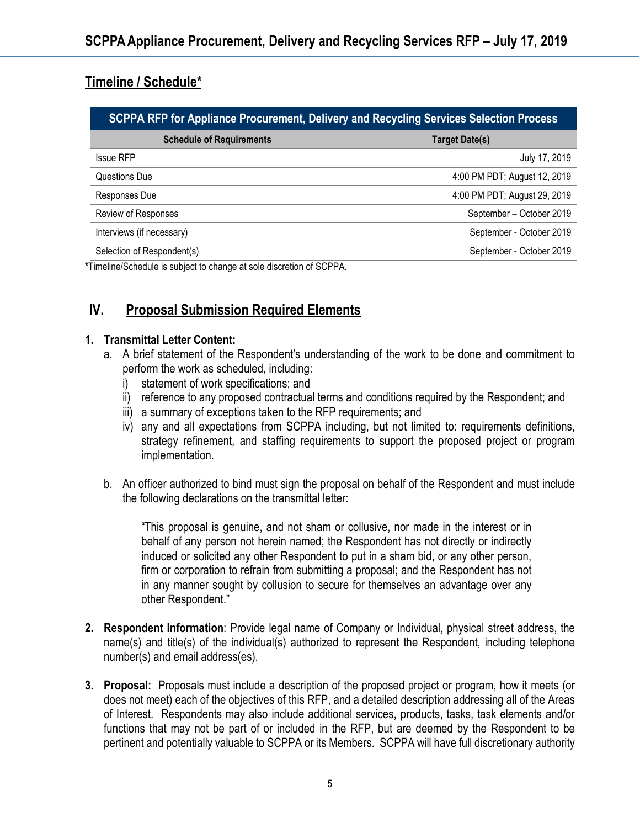# **Timeline / Schedule\***

| SCPPA RFP for Appliance Procurement, Delivery and Recycling Services Selection Process |                              |
|----------------------------------------------------------------------------------------|------------------------------|
| <b>Schedule of Requirements</b>                                                        | <b>Target Date(s)</b>        |
| <b>Issue RFP</b>                                                                       | July 17, 2019                |
| Questions Due                                                                          | 4:00 PM PDT; August 12, 2019 |
| Responses Due                                                                          | 4:00 PM PDT; August 29, 2019 |
| Review of Responses                                                                    | September - October 2019     |
| Interviews (if necessary)                                                              | September - October 2019     |
| Selection of Respondent(s)                                                             | September - October 2019     |

**\***Timeline/Schedule is subject to change at sole discretion of SCPPA.

## **IV. Proposal Submission Required Elements**

#### **1. Transmittal Letter Content:**

- a. A brief statement of the Respondent's understanding of the work to be done and commitment to perform the work as scheduled, including:
	- i) statement of work specifications; and
	- ii) reference to any proposed contractual terms and conditions required by the Respondent; and
	- iii) a summary of exceptions taken to the RFP requirements; and
	- iv) any and all expectations from SCPPA including, but not limited to: requirements definitions, strategy refinement, and staffing requirements to support the proposed project or program implementation.
- b. An officer authorized to bind must sign the proposal on behalf of the Respondent and must include the following declarations on the transmittal letter:

"This proposal is genuine, and not sham or collusive, nor made in the interest or in behalf of any person not herein named; the Respondent has not directly or indirectly induced or solicited any other Respondent to put in a sham bid, or any other person, firm or corporation to refrain from submitting a proposal; and the Respondent has not in any manner sought by collusion to secure for themselves an advantage over any other Respondent."

- **2. Respondent Information**: Provide legal name of Company or Individual, physical street address, the name(s) and title(s) of the individual(s) authorized to represent the Respondent, including telephone number(s) and email address(es).
- **3. Proposal:** Proposals must include a description of the proposed project or program, how it meets (or does not meet) each of the objectives of this RFP, and a detailed description addressing all of the Areas of Interest. Respondents may also include additional services, products, tasks, task elements and/or functions that may not be part of or included in the RFP, but are deemed by the Respondent to be pertinent and potentially valuable to SCPPA or its Members. SCPPA will have full discretionary authority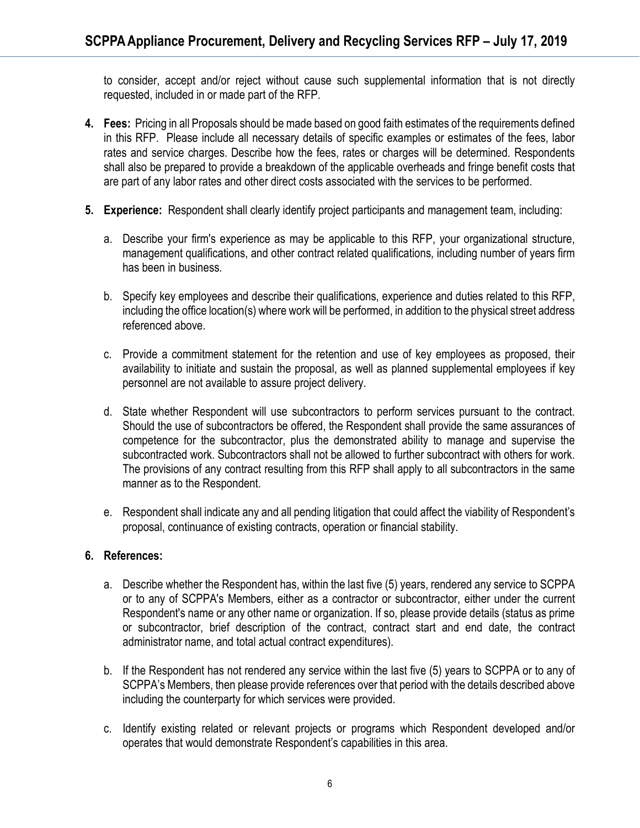to consider, accept and/or reject without cause such supplemental information that is not directly requested, included in or made part of the RFP.

- **4. Fees:** Pricing in all Proposals should be made based on good faith estimates of the requirements defined in this RFP. Please include all necessary details of specific examples or estimates of the fees, labor rates and service charges. Describe how the fees, rates or charges will be determined. Respondents shall also be prepared to provide a breakdown of the applicable overheads and fringe benefit costs that are part of any labor rates and other direct costs associated with the services to be performed.
- **5. Experience:** Respondent shall clearly identify project participants and management team, including:
	- a. Describe your firm's experience as may be applicable to this RFP, your organizational structure, management qualifications, and other contract related qualifications, including number of years firm has been in business.
	- b. Specify key employees and describe their qualifications, experience and duties related to this RFP, including the office location(s) where work will be performed, in addition to the physical street address referenced above.
	- c. Provide a commitment statement for the retention and use of key employees as proposed, their availability to initiate and sustain the proposal, as well as planned supplemental employees if key personnel are not available to assure project delivery.
	- d. State whether Respondent will use subcontractors to perform services pursuant to the contract. Should the use of subcontractors be offered, the Respondent shall provide the same assurances of competence for the subcontractor, plus the demonstrated ability to manage and supervise the subcontracted work. Subcontractors shall not be allowed to further subcontract with others for work. The provisions of any contract resulting from this RFP shall apply to all subcontractors in the same manner as to the Respondent.
	- e. Respondent shall indicate any and all pending litigation that could affect the viability of Respondent's proposal, continuance of existing contracts, operation or financial stability.

#### **6. References:**

- a. Describe whether the Respondent has, within the last five (5) years, rendered any service to SCPPA or to any of SCPPA's Members, either as a contractor or subcontractor, either under the current Respondent's name or any other name or organization. If so, please provide details (status as prime or subcontractor, brief description of the contract, contract start and end date, the contract administrator name, and total actual contract expenditures).
- b. If the Respondent has not rendered any service within the last five (5) years to SCPPA or to any of SCPPA's Members, then please provide references over that period with the details described above including the counterparty for which services were provided.
- c. Identify existing related or relevant projects or programs which Respondent developed and/or operates that would demonstrate Respondent's capabilities in this area.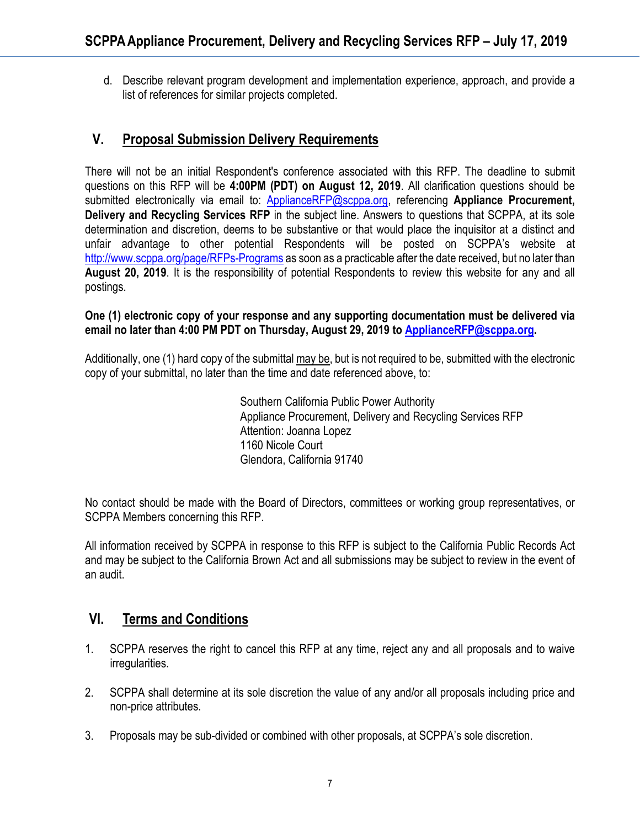d. Describe relevant program development and implementation experience, approach, and provide a list of references for similar projects completed.

## **V. Proposal Submission Delivery Requirements**

There will not be an initial Respondent's conference associated with this RFP. The deadline to submit questions on this RFP will be **4:00PM (PDT) on August 12, 2019**. All clarification questions should be submitted electronically via email to: [ApplianceRFP@scppa.org,](mailto:ApplianceRFP@scppa.org) referencing **Appliance Procurement, Delivery and Recycling Services RFP** in the subject line. Answers to questions that SCPPA, at its sole determination and discretion, deems to be substantive or that would place the inquisitor at a distinct and unfair advantage to other potential Respondents will be posted on SCPPA's website at <http://www.scppa.org/page/RFPs-Programs> as soon as a practicable after the date received, but no later than **August 20, 2019**. It is the responsibility of potential Respondents to review this website for any and all postings.

#### **One (1) electronic copy of your response and any supporting documentation must be delivered via email no later than 4:00 PM PDT on Thursday, August 29, 2019 to [ApplianceRFP@scppa.org.](mailto:ApplianceRFP@scppa.org)**

Additionally, one (1) hard copy of the submittal may be, but is not required to be, submitted with the electronic copy of your submittal, no later than the time and date referenced above, to:

> Southern California Public Power Authority Appliance Procurement, Delivery and Recycling Services RFP Attention: Joanna Lopez 1160 Nicole Court Glendora, California 91740

No contact should be made with the Board of Directors, committees or working group representatives, or SCPPA Members concerning this RFP.

All information received by SCPPA in response to this RFP is subject to the California Public Records Act and may be subject to the California Brown Act and all submissions may be subject to review in the event of an audit.

### **VI. Terms and Conditions**

- 1. SCPPA reserves the right to cancel this RFP at any time, reject any and all proposals and to waive irregularities.
- 2. SCPPA shall determine at its sole discretion the value of any and/or all proposals including price and non-price attributes.
- 3. Proposals may be sub-divided or combined with other proposals, at SCPPA's sole discretion.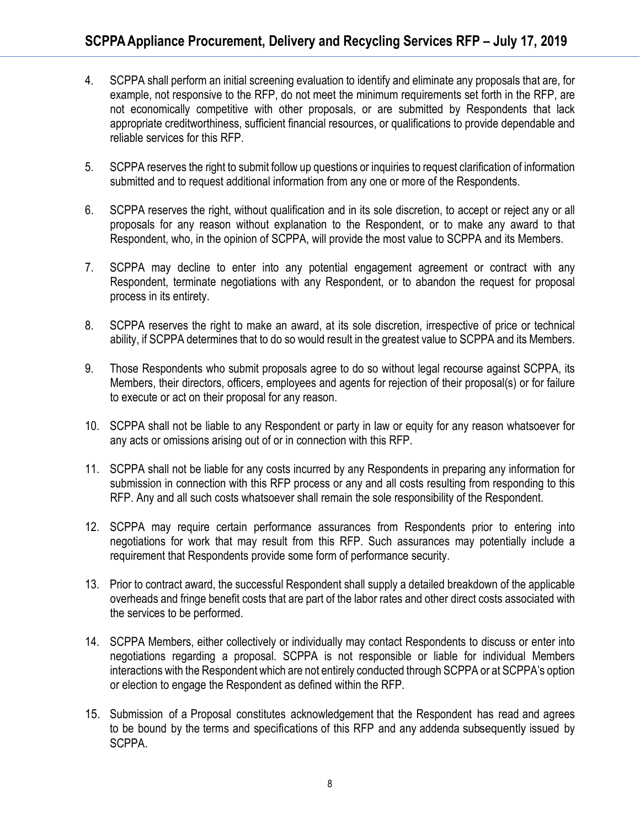- 4. SCPPA shall perform an initial screening evaluation to identify and eliminate any proposals that are, for example, not responsive to the RFP, do not meet the minimum requirements set forth in the RFP, are not economically competitive with other proposals, or are submitted by Respondents that lack appropriate creditworthiness, sufficient financial resources, or qualifications to provide dependable and reliable services for this RFP.
- 5. SCPPA reserves the right to submit follow up questions or inquiries to request clarification of information submitted and to request additional information from any one or more of the Respondents.
- 6. SCPPA reserves the right, without qualification and in its sole discretion, to accept or reject any or all proposals for any reason without explanation to the Respondent, or to make any award to that Respondent, who, in the opinion of SCPPA, will provide the most value to SCPPA and its Members.
- 7. SCPPA may decline to enter into any potential engagement agreement or contract with any Respondent, terminate negotiations with any Respondent, or to abandon the request for proposal process in its entirety.
- 8. SCPPA reserves the right to make an award, at its sole discretion, irrespective of price or technical ability, if SCPPA determines that to do so would result in the greatest value to SCPPA and its Members.
- 9. Those Respondents who submit proposals agree to do so without legal recourse against SCPPA, its Members, their directors, officers, employees and agents for rejection of their proposal(s) or for failure to execute or act on their proposal for any reason.
- 10. SCPPA shall not be liable to any Respondent or party in law or equity for any reason whatsoever for any acts or omissions arising out of or in connection with this RFP.
- 11. SCPPA shall not be liable for any costs incurred by any Respondents in preparing any information for submission in connection with this RFP process or any and all costs resulting from responding to this RFP. Any and all such costs whatsoever shall remain the sole responsibility of the Respondent.
- 12. SCPPA may require certain performance assurances from Respondents prior to entering into negotiations for work that may result from this RFP. Such assurances may potentially include a requirement that Respondents provide some form of performance security.
- 13. Prior to contract award, the successful Respondent shall supply a detailed breakdown of the applicable overheads and fringe benefit costs that are part of the labor rates and other direct costs associated with the services to be performed.
- 14. SCPPA Members, either collectively or individually may contact Respondents to discuss or enter into negotiations regarding a proposal. SCPPA is not responsible or liable for individual Members interactions with the Respondent which are not entirely conducted through SCPPA or at SCPPA's option or election to engage the Respondent as defined within the RFP.
- 15. Submission of a Proposal constitutes acknowledgement that the Respondent has read and agrees to be bound by the terms and specifications of this RFP and any addenda subsequently issued by SCPPA.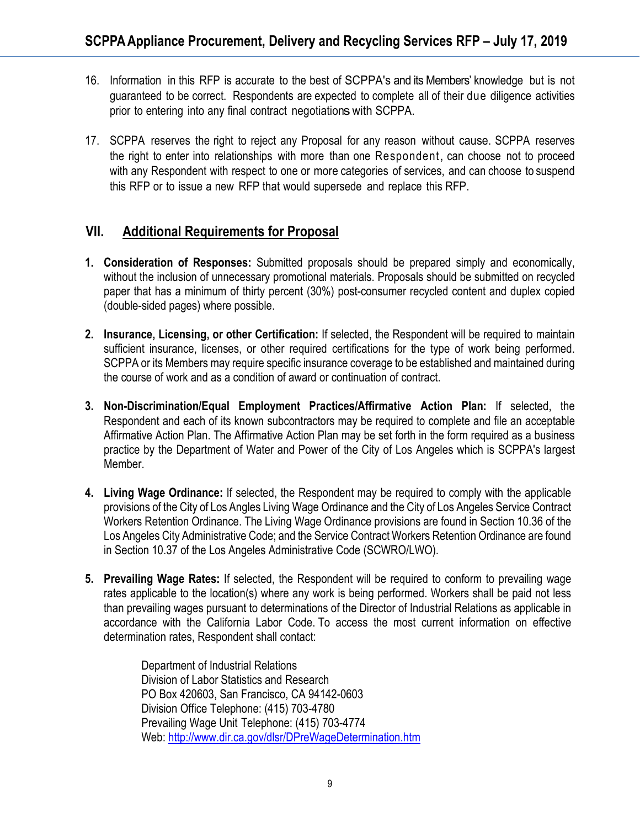- 16. Information in this RFP is accurate to the best of SCPPA's and its Members' knowledge but is not guaranteed to be correct. Respondents are expected to complete all of their due diligence activities prior to entering into any final contract negotiations with SCPPA.
- 17. SCPPA reserves the right to reject any Proposal for any reason without cause. SCPPA reserves the right to enter into relationships with more than one Respondent, can choose not to proceed with any Respondent with respect to one or more categories of services, and can choose to suspend this RFP or to issue a new RFP that would supersede and replace this RFP.

## **VII. Additional Requirements for Proposal**

- **1. Consideration of Responses:** Submitted proposals should be prepared simply and economically, without the inclusion of unnecessary promotional materials. Proposals should be submitted on recycled paper that has a minimum of thirty percent (30%) post-consumer recycled content and duplex copied (double-sided pages) where possible.
- **2. Insurance, Licensing, or other Certification:** If selected, the Respondent will be required to maintain sufficient insurance, licenses, or other required certifications for the type of work being performed. SCPPA or its Members may require specific insurance coverage to be established and maintained during the course of work and as a condition of award or continuation of contract.
- **3. Non-Discrimination/Equal Employment Practices/Affirmative Action Plan:** If selected, the Respondent and each of its known subcontractors may be required to complete and file an acceptable Affirmative Action Plan. The Affirmative Action Plan may be set forth in the form required as a business practice by the Department of Water and Power of the City of Los Angeles which is SCPPA's largest Member.
- **4. Living Wage Ordinance:** If selected, the Respondent may be required to comply with the applicable provisions of the City of Los Angles Living Wage Ordinance and the City of Los Angeles Service Contract Workers Retention Ordinance. The Living Wage Ordinance provisions are found in Section 10.36 of the Los Angeles City Administrative Code; and the Service Contract Workers Retention Ordinance are found in Section 10.37 of the Los Angeles Administrative Code (SCWRO/LWO).
- **5. Prevailing Wage Rates:** If selected, the Respondent will be required to conform to prevailing wage rates applicable to the location(s) where any work is being performed. Workers shall be paid not less than prevailing wages pursuant to determinations of the Director of Industrial Relations as applicable in accordance with the California Labor Code. To access the most current information on effective determination rates, Respondent shall contact:

Department of Industrial Relations Division of Labor Statistics and Research PO Box 420603, San Francisco, CA 94142-0603 Division Office Telephone: (415) 703-4780 Prevailing Wage Unit Telephone: (415) 703-4774 Web:<http://www.dir.ca.gov/dlsr/DPreWageDetermination.htm>